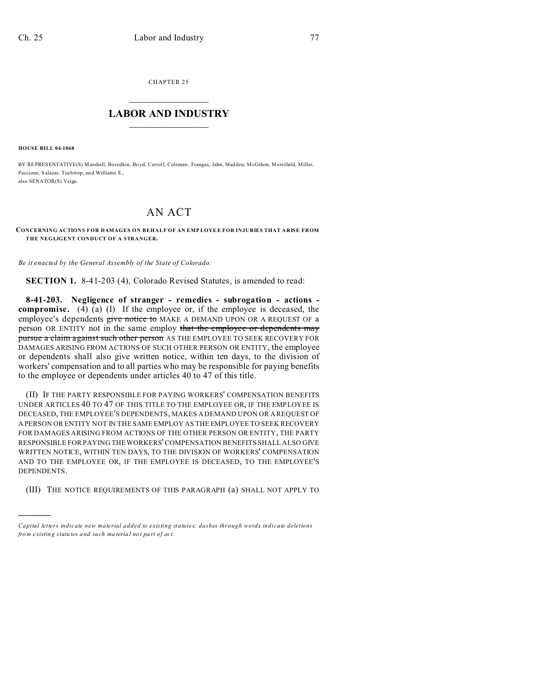CHAPTER 25  $\overline{\phantom{a}}$  , where  $\overline{\phantom{a}}$ 

## **LABOR AND INDUSTRY**  $\frac{1}{\sqrt{2}}$  ,  $\frac{1}{\sqrt{2}}$  ,  $\frac{1}{\sqrt{2}}$  ,  $\frac{1}{\sqrt{2}}$  ,  $\frac{1}{\sqrt{2}}$  ,  $\frac{1}{\sqrt{2}}$

**HOUSE BILL 04-1068**

)))))

BY REPRESENTATIVE(S) Marshall, Bo rodkin, Bo yd, Carroll, Coleman , Frangas, Jahn, Mad den, McGihon, Merrifield, Miller, Paccione, Salazar, Toch trop, an d Williams S.; also SENATOR(S) Veiga.

## AN ACT

**CONCERNING ACTIONS FOR DAMAGES ON BEHALF OF AN EMP LOYEE FOR INJURIES THAT ARISE FROM THE NEGLIGENT CONDUCT OF A STRANGER.**

*Be it enacted by the General Assembly of the State of Colorado:*

**SECTION 1.** 8-41-203 (4), Colorado Revised Statutes, is amended to read:

**8-41-203. Negligence of stranger - remedies - subrogation - actions compromise.** (4) (a) (I) If the employee or, if the employee is deceased, the employee's dependents give notice to MAKE A DEMAND UPON OR A REQUEST OF a person OR ENTITY not in the same employ that the employee or dependents may pursue a claim against such other person AS THE EMPLOYEE TO SEEK RECOVERY FOR DAMAGES ARISING FROM ACTIONS OF SUCH OTHER PERSON OR ENTITY, the employee or dependents shall also give written notice, within ten days, to the division of workers' compensation and to all parties who may be responsible for paying benefits to the employee or dependents under articles 40 to 47 of this title.

(II) IF THE PARTY RESPONSIBLE FOR PAYING WORKERS' COMPENSATION BENEFITS UNDER ARTICLES 40 TO 47 OF THIS TITLE TO THE EMPLOYEE OR, IF THE EMPLOYEE IS DECEASED, THE EMPLOYEE'S DEPENDENTS, MAKES A DEMAND UPON OR A REQUEST OF A PERSON OR ENTITY NOT IN THE SAME EMPLOY AS THE EMPLOYEE TO SEEK RECOVERY FOR DAMAGES ARISING FROM ACTIONS OF THE OTHER PERSON OR ENTITY, THE PARTY RESPONSIBLE FOR PAYING THE WORKERS' COMPENSATION BENEFITS SHALL ALSO GIVE WRITTEN NOTICE, WITHIN TEN DAYS, TO THE DIVISION OF WORKERS' COMPENSATION AND TO THE EMPLOYEE OR, IF THE EMPLOYEE IS DECEASED, TO THE EMPLOYEE'S DEPENDENTS.

(III) THE NOTICE REQUIREMENTS OF THIS PARAGRAPH (a) SHALL NOT APPLY TO

*Capital letters indicate new material added to existing statutes; dashes through words indicate deletions from e xistin g statu tes a nd such ma teria l no t pa rt of ac t.*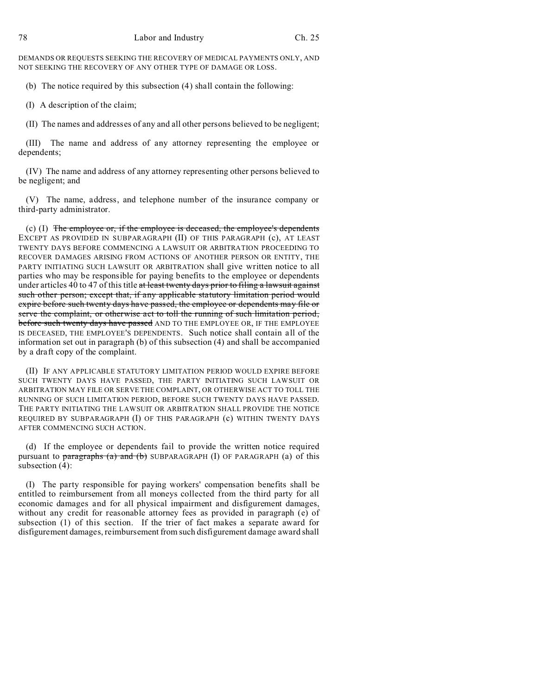DEMANDS OR REQUESTS SEEKING THE RECOVERY OF MEDICAL PAYMENTS ONLY, AND NOT SEEKING THE RECOVERY OF ANY OTHER TYPE OF DAMAGE OR LOSS.

(b) The notice required by this subsection (4) shall contain the following:

(I) A description of the claim;

(II) The names and addresses of any and all other persons believed to be negligent;

(III) The name and address of any attorney representing the employee or dependents;

(IV) The name and address of any attorney representing other persons believed to be negligent; and

(V) The name, address, and telephone number of the insurance company or third-party administrator.

(c) (I) The employee or, if the employee is deceased, the employee's dependents EXCEPT AS PROVIDED IN SUBPARAGRAPH (II) OF THIS PARAGRAPH (c), AT LEAST TWENTY DAYS BEFORE COMMENCING A LAWSUIT OR ARBITRATION PROCEEDING TO RECOVER DAMAGES ARISING FROM ACTIONS OF ANOTHER PERSON OR ENTITY, THE PARTY INITIATING SUCH LAWSUIT OR ARBITRATION shall give written notice to all parties who may be responsible for paying benefits to the employee or dependents under articles 40 to 47 of this title at least twenty days prior to filing a lawsuit against such other person; except that, if any applicable statutory limitation period would expire before such twenty days have passed, the employee or dependents may file or serve the complaint, or otherwise act to toll the running of such limitation period, before such twenty days have passed AND TO THE EMPLOYEE OR, IF THE EMPLOYEE IS DECEASED, THE EMPLOYEE'S DEPENDENTS. Such notice shall contain all of the information set out in paragraph (b) of this subsection (4) and shall be accompanied by a draft copy of the complaint.

(II) IF ANY APPLICABLE STATUTORY LIMITATION PERIOD WOULD EXPIRE BEFORE SUCH TWENTY DAYS HAVE PASSED, THE PARTY INITIATING SUCH LAWSUIT OR ARBITRATION MAY FILE OR SERVE THE COMPLAINT, OR OTHERWISE ACT TO TOLL THE RUNNING OF SUCH LIMITATION PERIOD, BEFORE SUCH TWENTY DAYS HAVE PASSED. THE PARTY INITIATING THE LAWSUIT OR ARBITRATION SHALL PROVIDE THE NOTICE REQUIRED BY SUBPARAGRAPH (I) OF THIS PARAGRAPH (c) WITHIN TWENTY DAYS AFTER COMMENCING SUCH ACTION.

(d) If the employee or dependents fail to provide the written notice required pursuant to paragraphs (a) and (b) SUBPARAGRAPH (I) OF PARAGRAPH (a) of this subsection (4):

(I) The party responsible for paying workers' compensation benefits shall be entitled to reimbursement from all moneys collected from the third party for all economic damages and for all physical impairment and disfigurement damages, without any credit for reasonable attorney fees as provided in paragraph (e) of subsection (1) of this section. If the trier of fact makes a separate award for disfigurement damages, reimbursement from such disfigurement damage award shall